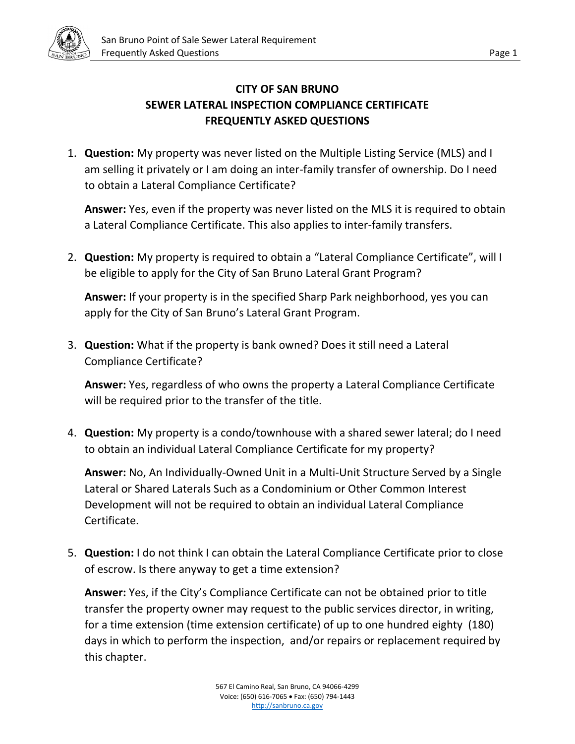

## **CITY OF SAN BRUNO SEWER LATERAL INSPECTION COMPLIANCE CERTIFICATE FREQUENTLY ASKED QUESTIONS**

1. **Question:** My property was never listed on the Multiple Listing Service (MLS) and I am selling it privately or I am doing an inter-family transfer of ownership. Do I need to obtain a Lateral Compliance Certificate?

**Answer:** Yes, even if the property was never listed on the MLS it is required to obtain a Lateral Compliance Certificate. This also applies to inter-family transfers.

2. **Question:** My property is required to obtain a "Lateral Compliance Certificate", will I be eligible to apply for the City of San Bruno Lateral Grant Program?

**Answer:** If your property is in the specified Sharp Park neighborhood, yes you can apply for the City of San Bruno's Lateral Grant Program.

3. **Question:** What if the property is bank owned? Does it still need a Lateral Compliance Certificate?

**Answer:** Yes, regardless of who owns the property a Lateral Compliance Certificate will be required prior to the transfer of the title.

4. **Question:** My property is a condo/townhouse with a shared sewer lateral; do I need to obtain an individual Lateral Compliance Certificate for my property?

**Answer:** No, An Individually-Owned Unit in a Multi-Unit Structure Served by a Single Lateral or Shared Laterals Such as a Condominium or Other Common Interest Development will not be required to obtain an individual Lateral Compliance Certificate.

5. **Question:** I do not think I can obtain the Lateral Compliance Certificate prior to close of escrow. Is there anyway to get a time extension?

**Answer:** Yes, if the City's Compliance Certificate can not be obtained prior to title transfer the property owner may request to the public services director, in writing, for a time extension (time extension certificate) of up to one hundred eighty (180) days in which to perform the inspection, and/or repairs or replacement required by this chapter.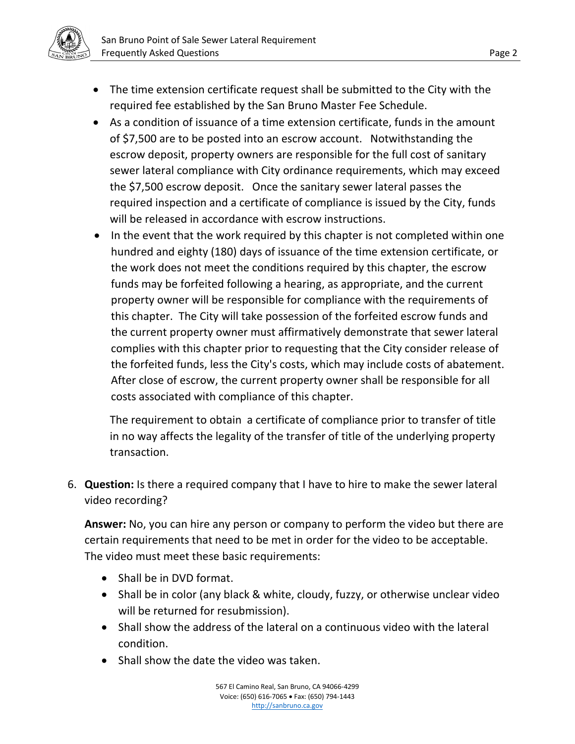

- The time extension certificate request shall be submitted to the City with the required fee established by the San Bruno Master Fee Schedule.
- As a condition of issuance of a time extension certificate, funds in the amount of \$7,500 are to be posted into an escrow account. Notwithstanding the escrow deposit, property owners are responsible for the full cost of sanitary sewer lateral compliance with City ordinance requirements, which may exceed the \$7,500 escrow deposit. Once the sanitary sewer lateral passes the required inspection and a certificate of compliance is issued by the City, funds will be released in accordance with escrow instructions.
- In the event that the work required by this chapter is not completed within one hundred and eighty (180) days of issuance of the time extension certificate, or the work does not meet the conditions required by this chapter, the escrow funds may be forfeited following a hearing, as appropriate, and the current property owner will be responsible for compliance with the requirements of this chapter. The City will take possession of the forfeited escrow funds and the current property owner must affirmatively demonstrate that sewer lateral complies with this chapter prior to requesting that the City consider release of the forfeited funds, less the City's costs, which may include costs of abatement. After close of escrow, the current property owner shall be responsible for all costs associated with compliance of this chapter.

The requirement to obtain a certificate of compliance prior to transfer of title in no way affects the legality of the transfer of title of the underlying property transaction.

6. **Question:** Is there a required company that I have to hire to make the sewer lateral video recording?

**Answer:** No, you can hire any person or company to perform the video but there are certain requirements that need to be met in order for the video to be acceptable. The video must meet these basic requirements:

- Shall be in DVD format.
- Shall be in color (any black & white, cloudy, fuzzy, or otherwise unclear video will be returned for resubmission).
- Shall show the address of the lateral on a continuous video with the lateral condition.
- Shall show the date the video was taken.